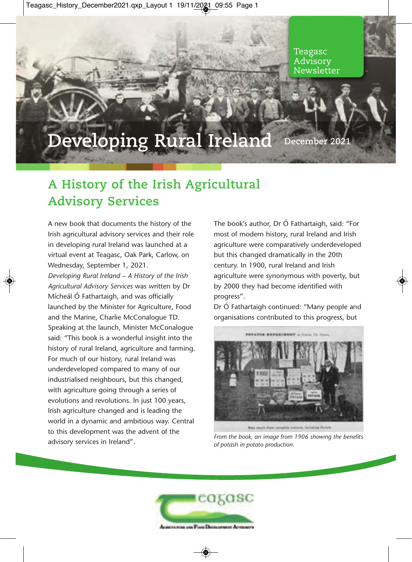## **Developing Rural Ireland December 20**

## **A History of the Irish Agricultural Advisory Services**

A new book that documents the history of the Irish agricultural advisory services and their role in developing rural Ireland was launched at a virtual event at Teagasc, Oak Park, Carlow, on Wednesday, September 1, 2021.

*Developing Rural Ireland – A History of the Irish Agricultural Advisory Services* was written by Dr Mícheál Ó Fathartaigh, and was officially launched by the Minister for Agriculture, Food and the Marine, Charlie McConalogue TD. Speaking at the launch, Minister McConalogue said: "This book is a wonderful insight into the history of rural Ireland, agriculture and farming. For much of our history, rural Ireland was underdeveloped compared to many of our industrialised neighbours, but this changed, with agriculture going through a series of evolutions and revolutions. In just 100 years, Irish agriculture changed and is leading the world in a dynamic and ambitious way. Central to this development was the advent of the advisory services in Ireland".

The book's author, Dr Ó Fathartaigh, said: "For most of modern history, rural Ireland and Irish agriculture were comparatively underdeveloped but this changed dramatically in the 20th century. In 1900, rural Ireland and Irish agriculture were synonymous with poverty, but by 2000 they had become identified with progress".

Dr Ó Fathartaigh continued: "Many people and organisations contributed to this progress, but



*From the book, an image from 1906 showing the benefits of potash in potato production.*